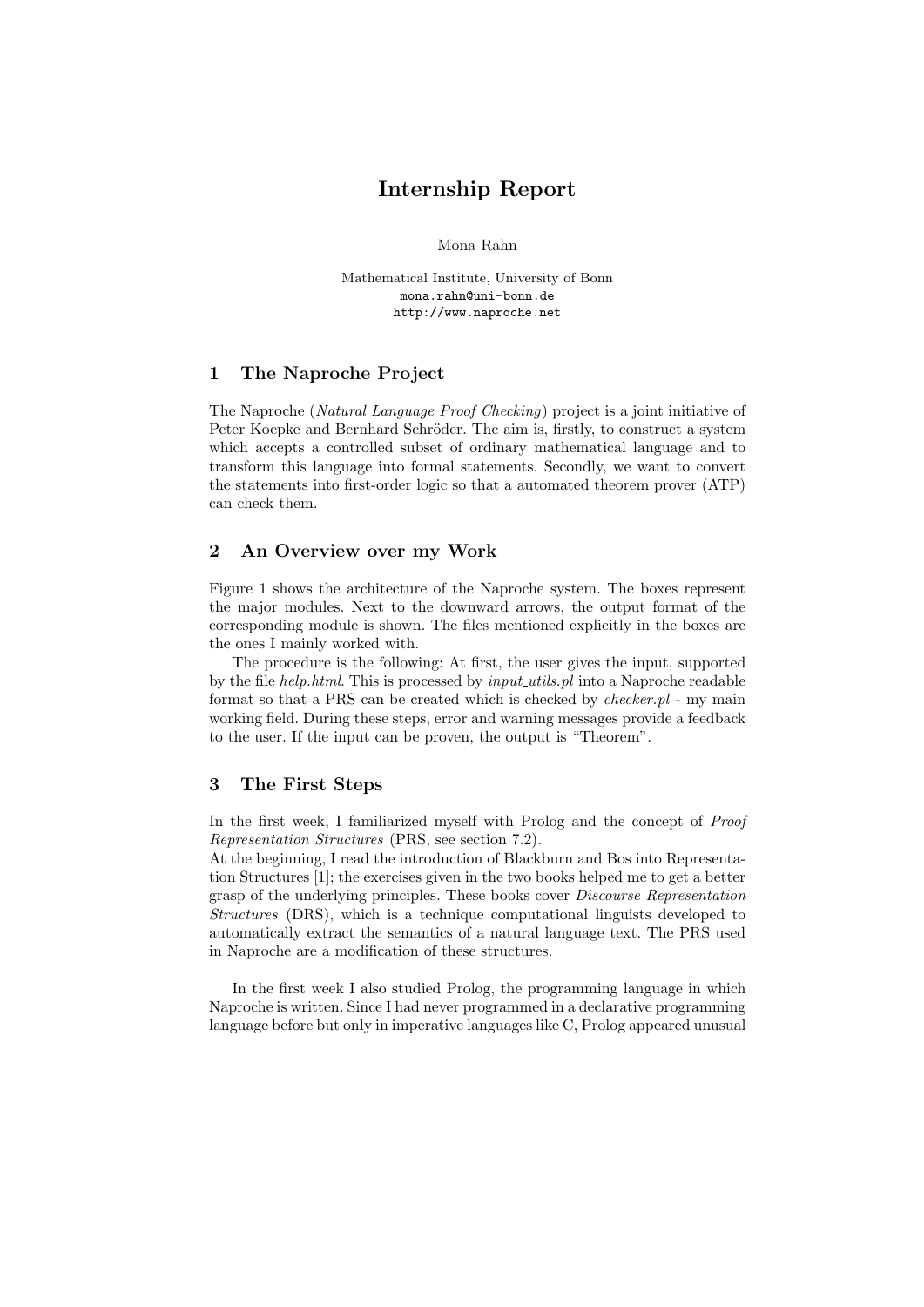## **Internship Report**

Mona Rahn

Mathematical Institute, University of Bonn mona.rahn@uni-bonn.de http://www.naproche.net

## **1 The Naproche Project**

The Naproche (*Natural Language Proof Checking*) project is a joint initiative of Peter Koepke and Bernhard Schröder. The aim is, firstly, to construct a system which accepts a controlled subset of ordinary mathematical language and to transform this language into formal statements. Secondly, we want to convert the statements into first-order logic so that a automated theorem prover (ATP) can check them.

## **2 An Overview over my Work**

Figure 1 shows the architecture of the Naproche system. The boxes represent the major modules. Next to the downward arrows, the output format of the corresponding module is shown. The files mentioned explicitly in the boxes are the ones I mainly worked with.

The procedure is the following: At first, the user gives the input, supported by the file *help.html*. This is processed by *input utils.pl* into a Naproche readable format so that a PRS can be created which is checked by *checker.pl* - my main working field. During these steps, error and warning messages provide a feedback to the user. If the input can be proven, the output is "Theorem".

#### **3 The First Steps**

In the first week, I familiarized myself with Prolog and the concept of *Proof Representation Structures* (PRS, see section 7.2).

At the beginning, I read the introduction of Blackburn and Bos into Representation Structures [1]; the exercises given in the two books helped me to get a better grasp of the underlying principles. These books cover *Discourse Representation Structures* (DRS), which is a technique computational linguists developed to automatically extract the semantics of a natural language text. The PRS used in Naproche are a modification of these structures.

In the first week I also studied Prolog, the programming language in which Naproche is written. Since I had never programmed in a declarative programming language before but only in imperative languages like C, Prolog appeared unusual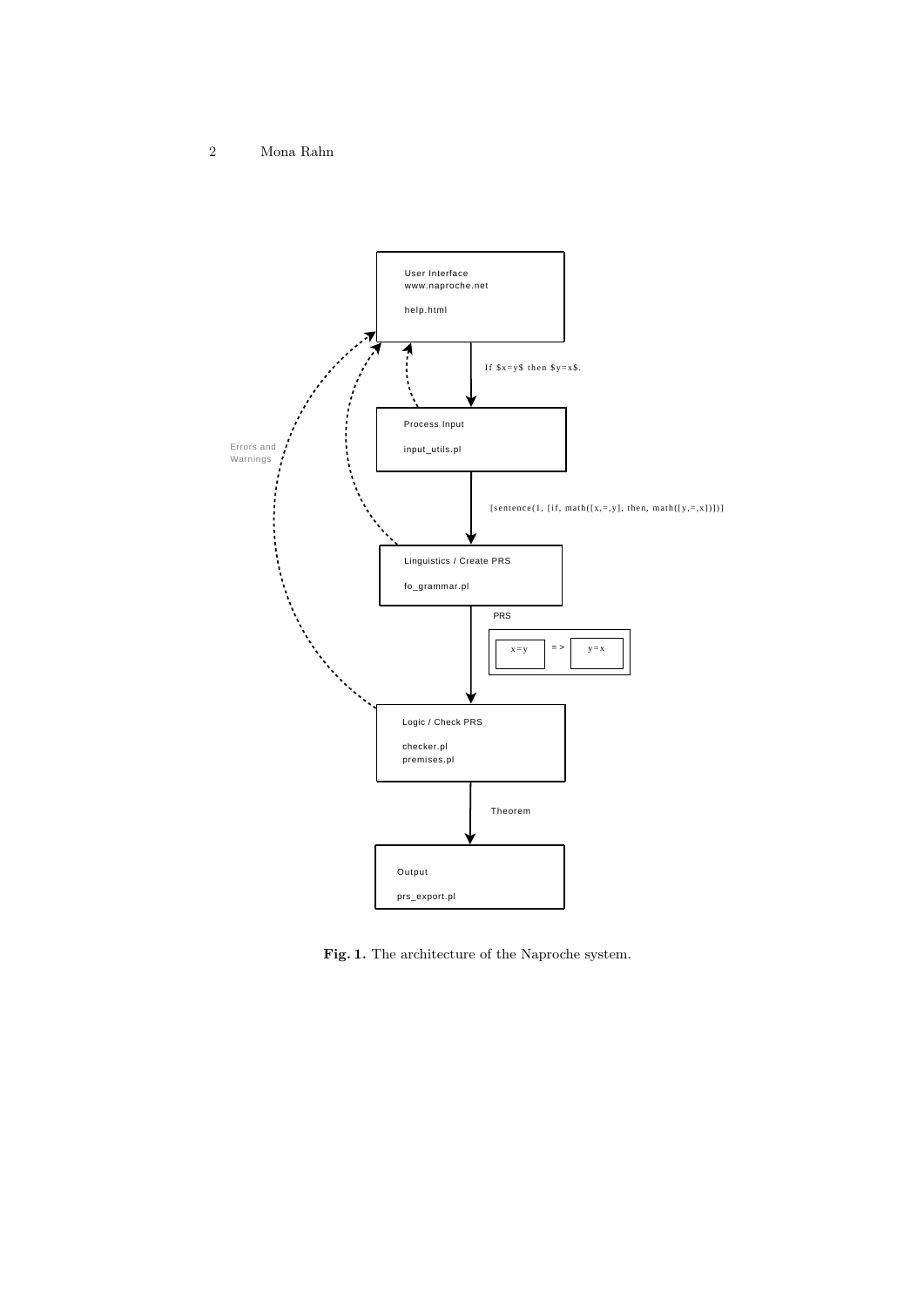

**Fig. 1.** The architecture of the Naproche system.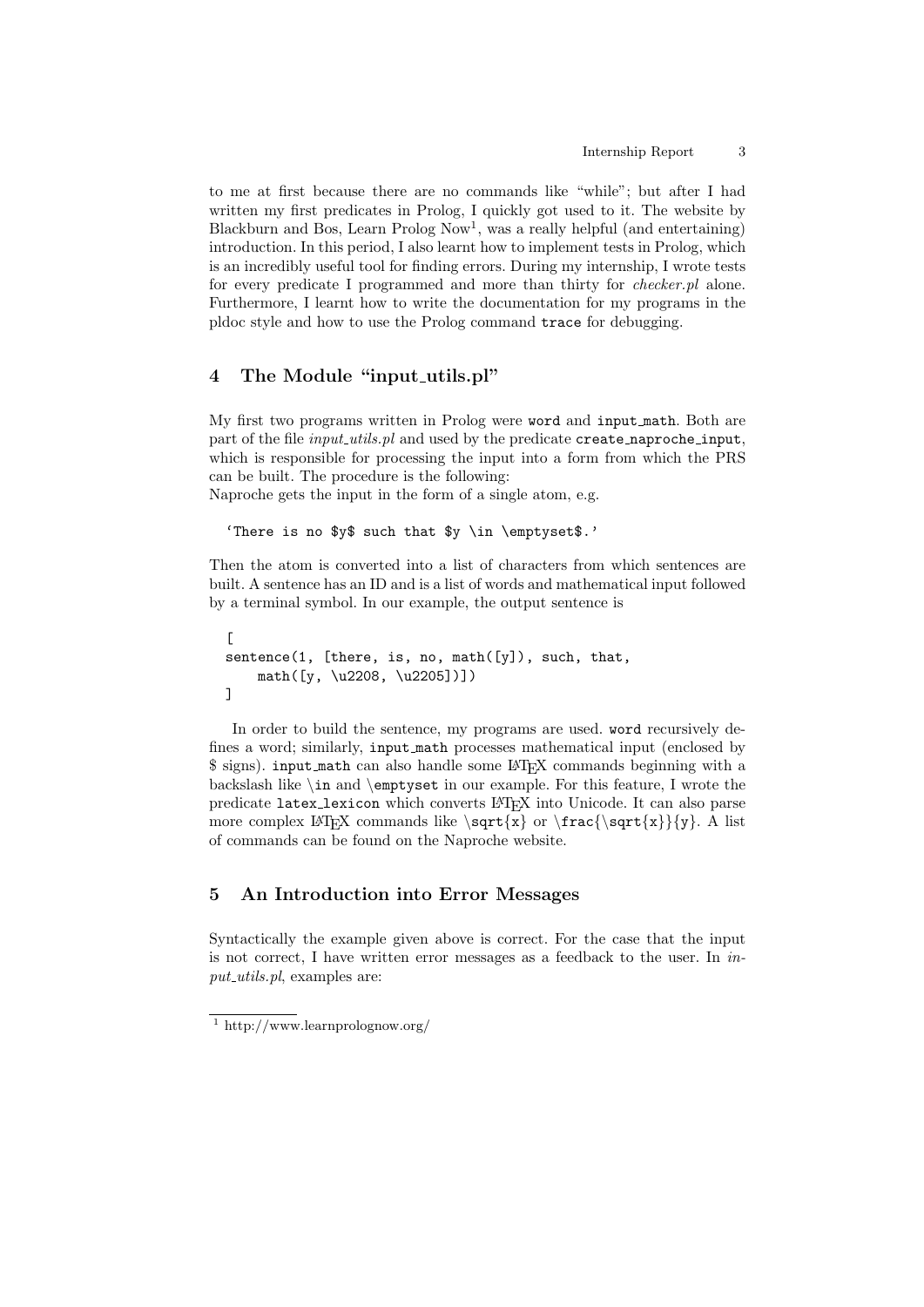to me at first because there are no commands like "while"; but after I had written my first predicates in Prolog, I quickly got used to it. The website by Blackburn and Bos, Learn Prolog Now<sup>1</sup>, was a really helpful (and entertaining) introduction. In this period, I also learnt how to implement tests in Prolog, which is an incredibly useful tool for finding errors. During my internship, I wrote tests for every predicate I programmed and more than thirty for *checker.pl* alone. Furthermore, I learnt how to write the documentation for my programs in the pldoc style and how to use the Prolog command trace for debugging.

## **4 The Module "input utils.pl"**

My first two programs written in Prolog were word and input math. Both are part of the file *input utils.pl* and used by the predicate create naproche input, which is responsible for processing the input into a form from which the PRS can be built. The procedure is the following:

Naproche gets the input in the form of a single atom, e.g.

'There is no \$y\$ such that \$y \in \emptyset\$.'

Then the atom is converted into a list of characters from which sentences are built. A sentence has an ID and is a list of words and mathematical input followed by a terminal symbol. In our example, the output sentence is

```
\Gammasentence(1, [there, is, no, math([y]), such, that,
    math([y, \u2208, \u2205])])
]
```
In order to build the sentence, my programs are used. word recursively defines a word; similarly, input math processes mathematical input (enclosed by \$ signs). input math can also handle some LAT<sub>EX</sub> commands beginning with a backslash like *\*in and *\*emptyset in our example. For this feature, I wrote the predicate latex lexicon which converts LATEX into Unicode. It can also parse more complex LATEX commands like *\*sqrt*{*x*}* or *\*frac*{\*sqrt*{*x*}}{*y*}*. A list of commands can be found on the Naproche website.

## **5 An Introduction into Error Messages**

Syntactically the example given above is correct. For the case that the input is not correct, I have written error messages as a feedback to the user. In *input utils.pl*, examples are:

<sup>1</sup> http://www.learnprolognow.org/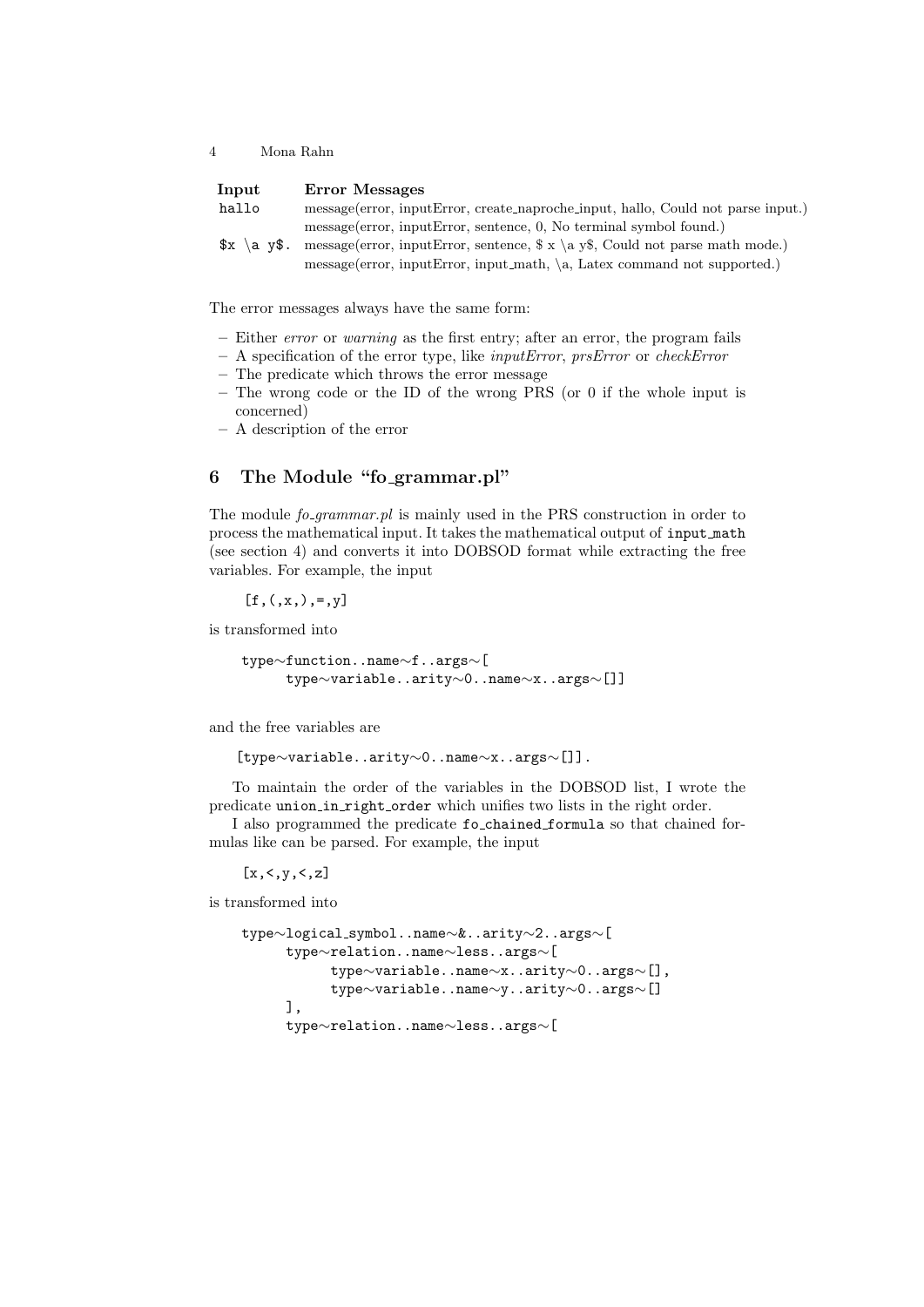| Input          | Error Messages                                                                      |
|----------------|-------------------------------------------------------------------------------------|
| hallo          | message (error, input Error, create_naproche_input, hallo, Could not parse input.)  |
|                | message (error, input Error, sentence, 0, No terminal symbol found.)                |
| $x \ a \ v\$ . | message (error, input Error, sentence, $\ x \ a \ y\$ , Could not parse math mode.) |
|                | $message(error, inputError, input-match, \ a, Latex command not supported.)$        |

The error messages always have the same form:

- **–** Either *error* or *warning* as the first entry; after an error, the program fails
- **–** A specification of the error type, like *inputError*, *prsError* or *checkError*
- **–** The predicate which throws the error message
- **–** The wrong code or the ID of the wrong PRS (or 0 if the whole input is concerned)
- **–** A description of the error

## **6 The Module "fo grammar.pl"**

The module *fo grammar.pl* is mainly used in the PRS construction in order to process the mathematical input. It takes the mathematical output of input math (see section 4) and converts it into DOBSOD format while extracting the free variables. For example, the input

 $[f,(x,)$ , =, y]

is transformed into

```
type∼function..name∼f..args∼[
     type∼variable..arity∼0..name∼x..args∼[]]
```
and the free variables are

[type*∼*variable..arity*∼*0..name*∼*x..args*∼*[]].

To maintain the order of the variables in the DOBSOD list, I wrote the predicate union in right order which unifies two lists in the right order.

I also programmed the predicate fo\_chained\_formula so that chained formulas like can be parsed. For example, the input

 $[x, <, y, <, z]$ 

is transformed into

```
type∼logical symbol..name∼&..arity∼2..args∼[
     type∼relation..name∼less..args∼[
          type∼variable..name∼x..arity∼0..args∼[],
          type∼variable..name∼y..arity∼0..args∼[]
     ],
     type∼relation..name∼less..args∼[
```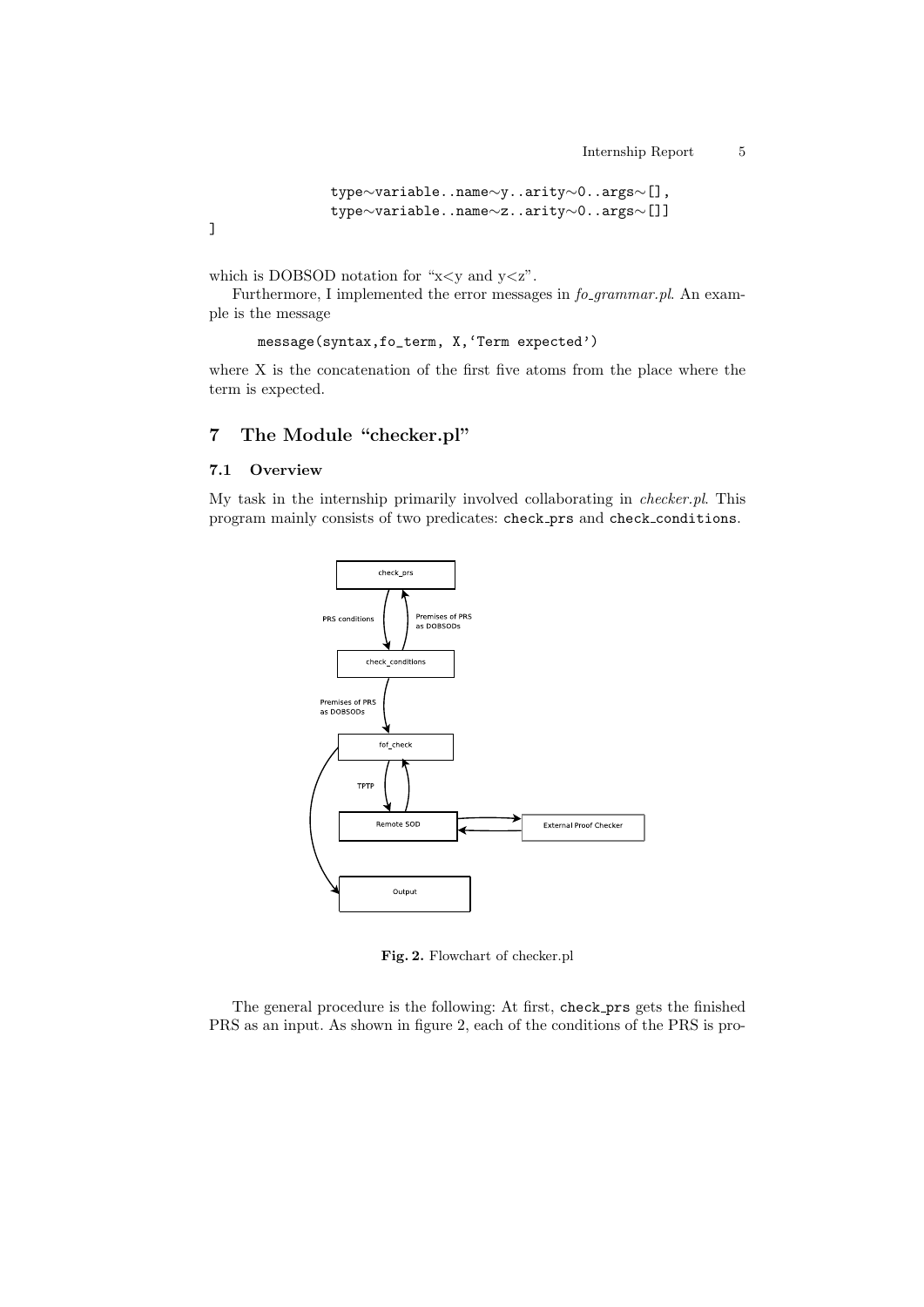```
type∼variable..name∼y..arity∼0..args∼[],
type∼variable..name∼z..arity∼0..args∼[]]
```
]

which is DOBSOD notation for "x*<*y and y*<*z".

Furthermore, I implemented the error messages in *fo grammar.pl*. An example is the message

```
message(syntax,fo_term, X,'Term expected')
```
where X is the concatenation of the first five atoms from the place where the term is expected.

# **7 The Module "checker.pl"**

#### **7.1 Overview**

My task in the internship primarily involved collaborating in *checker.pl*. This program mainly consists of two predicates: check prs and check conditions.



**Fig. 2.** Flowchart of checker.pl

The general procedure is the following: At first, check prs gets the finished PRS as an input. As shown in figure 2, each of the conditions of the PRS is pro-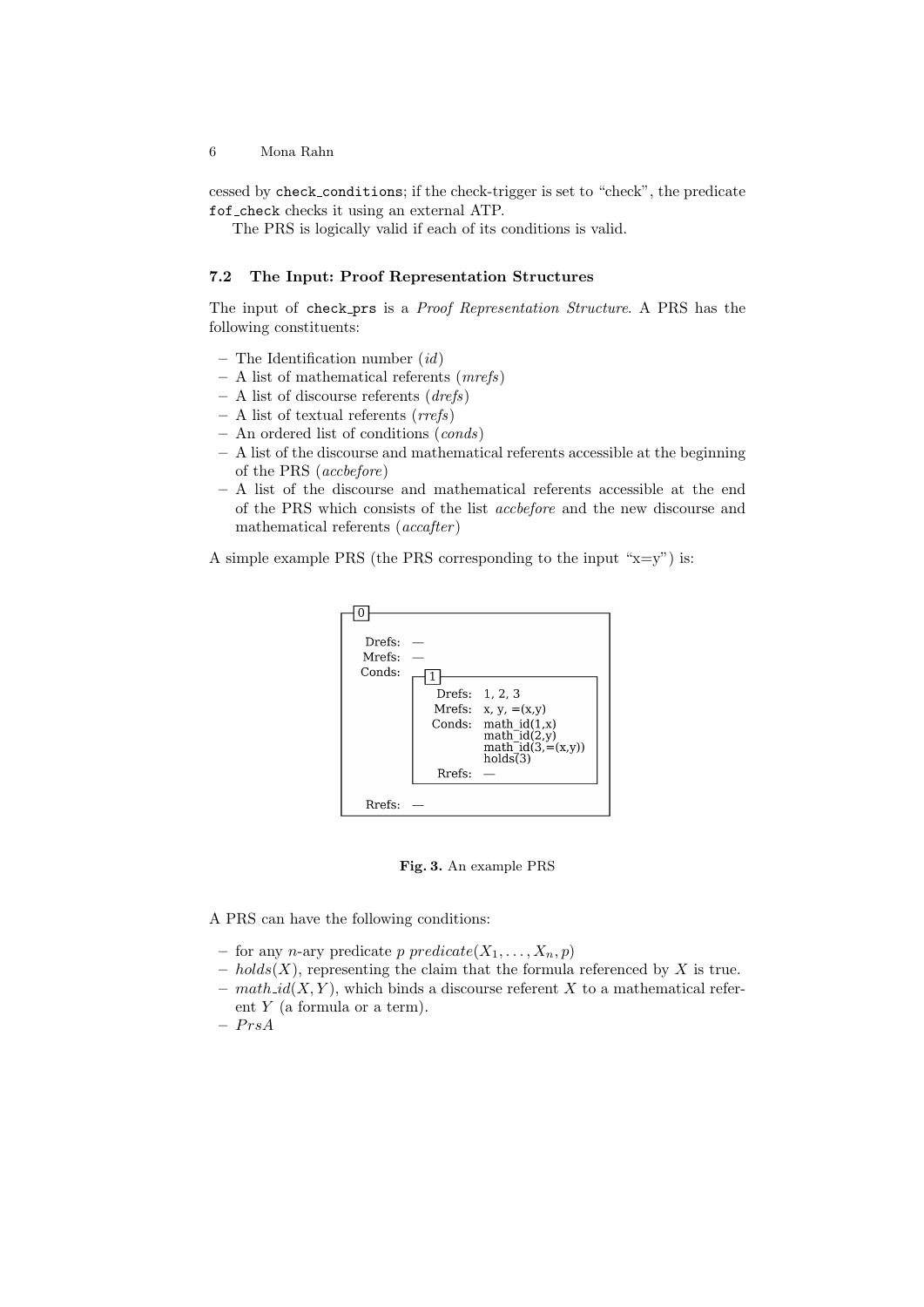cessed by check conditions; if the check-trigger is set to "check", the predicate fof check checks it using an external ATP.

The PRS is logically valid if each of its conditions is valid.

#### **7.2 The Input: Proof Representation Structures**

The input of check prs is a *Proof Representation Structure*. A PRS has the following constituents:

- **–** The Identification number (*id*)
- **–** A list of mathematical referents (*mrefs*)
- **–** A list of discourse referents (*drefs*)
- **–** A list of textual referents (*rrefs*)
- **–** An ordered list of conditions (*conds*)
- **–** A list of the discourse and mathematical referents accessible at the beginning of the PRS (*accbefore*)
- **–** A list of the discourse and mathematical referents accessible at the end of the PRS which consists of the list *accbefore* and the new discourse and mathematical referents (*accafter* )

A simple example PRS (the PRS corresponding to the input " $x=y$ ") is:



**Fig. 3.** An example PRS

A PRS can have the following conditions:

- for any *n*-ary predicate *p* predicate  $(X_1, \ldots, X_n, p)$
- **–** *holds*(*X*), representing the claim that the formula referenced by *X* is true.
- **–** *math id*(*X, Y* ), which binds a discourse referent *X* to a mathematical referent *Y* (a formula or a term).
- **–** *P rsA*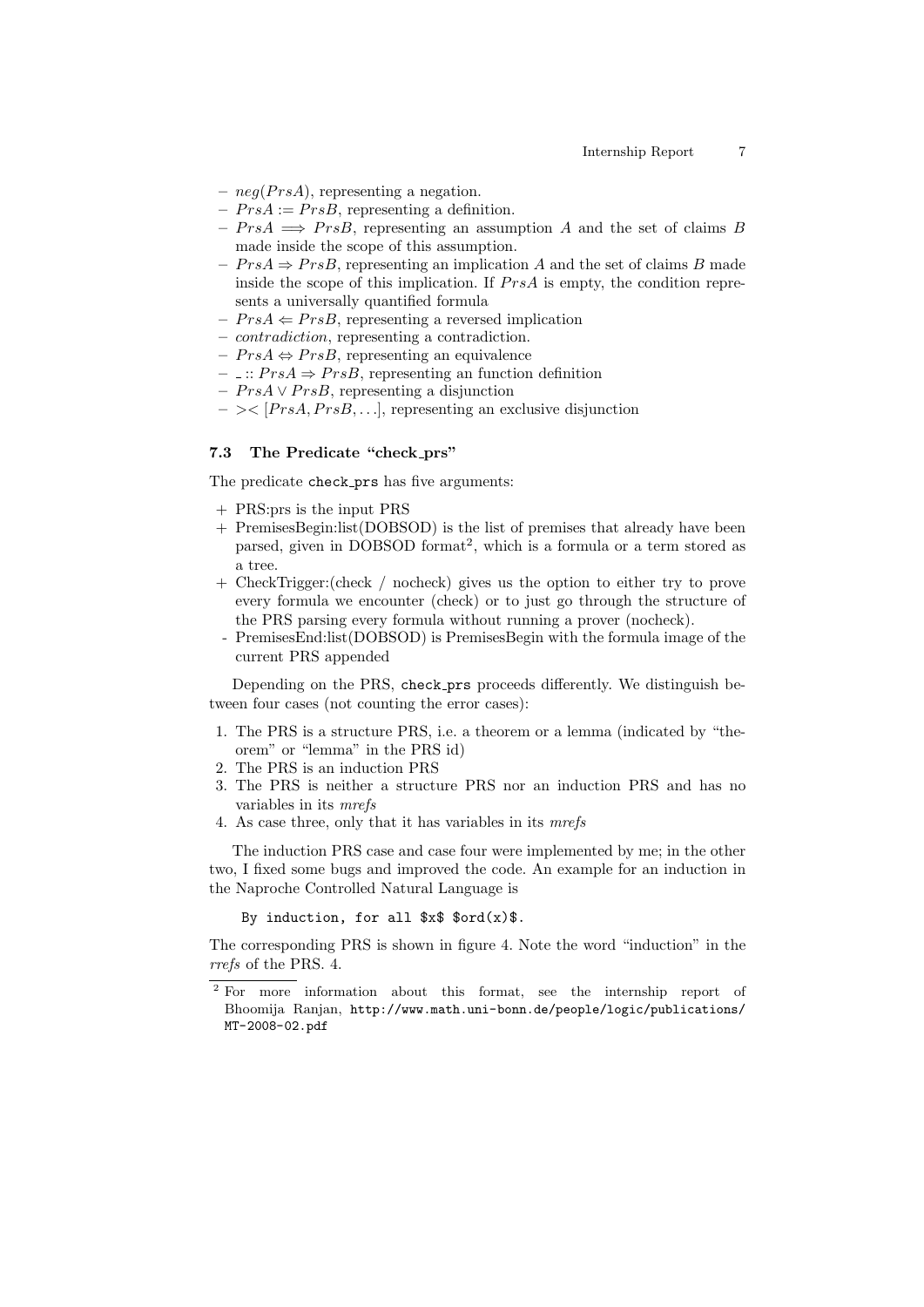- **–** *neg*(*P rsA*), representing a negation.
- $PrsA := PrsB$ , representing a definition.
- $-PrsA \implies PrsB$ , representing an assumption *A* and the set of claims *B* made inside the scope of this assumption.
- $− PrsA ⇒ PrsB$ , representing an implication *A* and the set of claims *B* made inside the scope of this implication. If  $P r sA$  is empty, the condition represents a universally quantified formula
- $PrsA \Leftarrow PrsB$ , representing a reversed implication
- **–** *contradiction*, representing a contradiction.
- **–** *P rsA ⇔ P rsB*, representing an equivalence
- $−$   $\therefore$  *PrsA*  $\Rightarrow$  *PrsB*, representing an function definition
- **–** *P rsA ∨ P rsB*, representing a disjunction
- $\sim$  >< [ $PrsA, PrsB, \ldots$ ], representing an exclusive disjunction

#### **7.3 The Predicate "check prs"**

The predicate check\_prs has five arguments:

- + PRS:prs is the input PRS
- + PremisesBegin:list(DOBSOD) is the list of premises that already have been parsed, given in DOBSOD format<sup>2</sup>, which is a formula or a term stored as a tree.
- + CheckTrigger:(check / nocheck) gives us the option to either try to prove every formula we encounter (check) or to just go through the structure of the PRS parsing every formula without running a prover (nocheck).
- PremisesEnd:list(DOBSOD) is PremisesBegin with the formula image of the current PRS appended

Depending on the PRS, check prs proceeds differently. We distinguish between four cases (not counting the error cases):

- 1. The PRS is a structure PRS, i.e. a theorem or a lemma (indicated by "theorem" or "lemma" in the PRS id)
- 2. The PRS is an induction PRS
- 3. The PRS is neither a structure PRS nor an induction PRS and has no variables in its *mrefs*
- 4. As case three, only that it has variables in its *mrefs*

The induction PRS case and case four were implemented by me; in the other two, I fixed some bugs and improved the code. An example for an induction in the Naproche Controlled Natural Language is

By induction, for all  $x\$   $\text{ord}(x)\$ .

The corresponding PRS is shown in figure 4. Note the word "induction" in the *rrefs* of the PRS. 4.

<sup>&</sup>lt;sup>2</sup> For more information about this format, see the internship report of Bhoomija Ranjan, http://www.math.uni-bonn.de/people/logic/publications/ MT-2008-02.pdf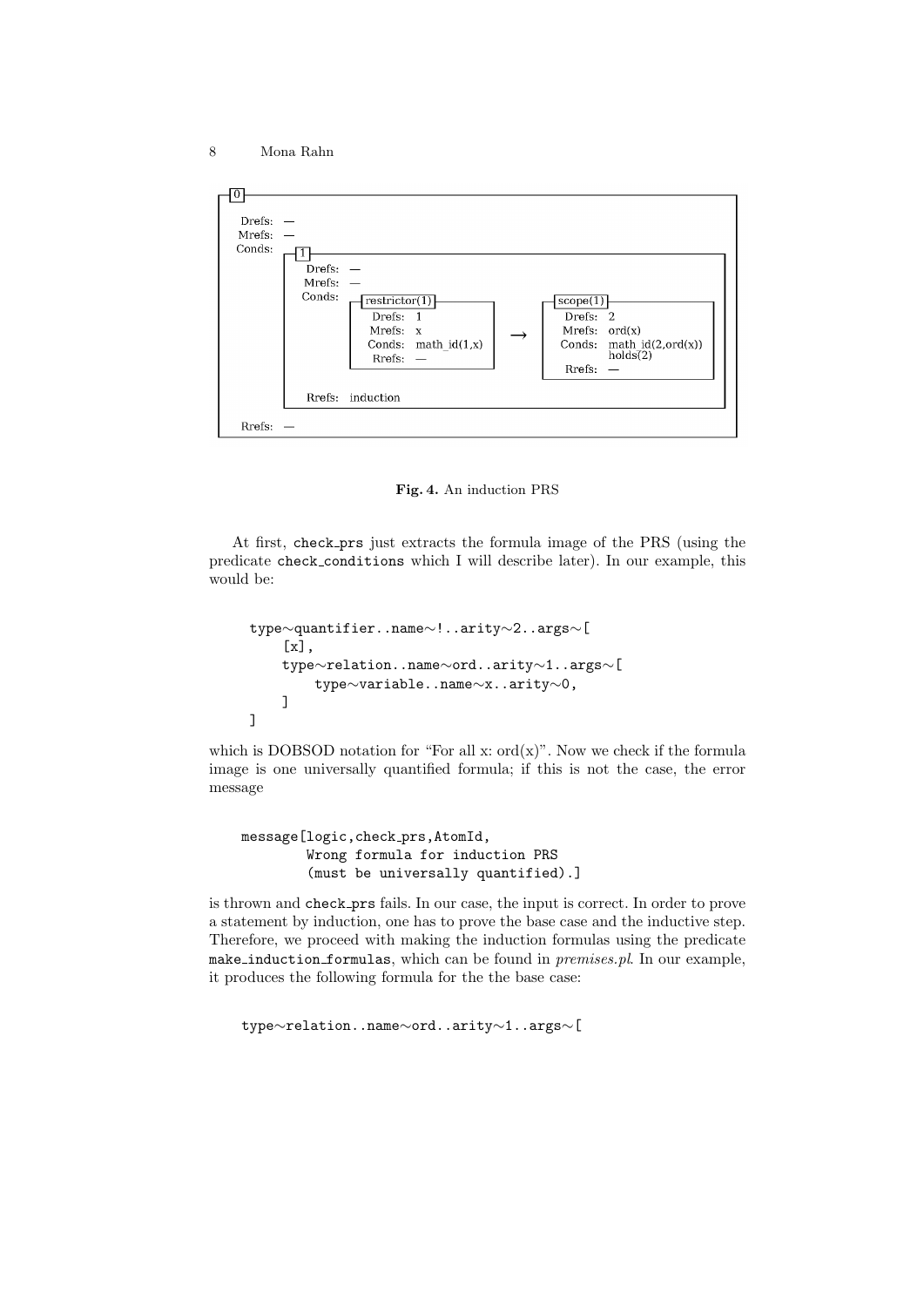

**Fig. 4.** An induction PRS

At first, check prs just extracts the formula image of the PRS (using the predicate check conditions which I will describe later). In our example, this would be:

```
type∼quantifier..name∼!..arity∼2..args∼[
    [x],
    type∼relation..name∼ord..arity∼1..args∼[
        type∼variable..name∼x..arity∼0,
   ]
]
```
which is DOBSOD notation for "For all  $x: ord(x)$ ". Now we check if the formula image is one universally quantified formula; if this is not the case, the error message

message[logic,check prs,AtomId, Wrong formula for induction PRS (must be universally quantified).]

is thrown and check prs fails. In our case, the input is correct. In order to prove a statement by induction, one has to prove the base case and the inductive step. Therefore, we proceed with making the induction formulas using the predicate make induction formulas, which can be found in *premises.pl*. In our example, it produces the following formula for the the base case:

type*∼*relation..name*∼*ord..arity*∼*1..args*∼*[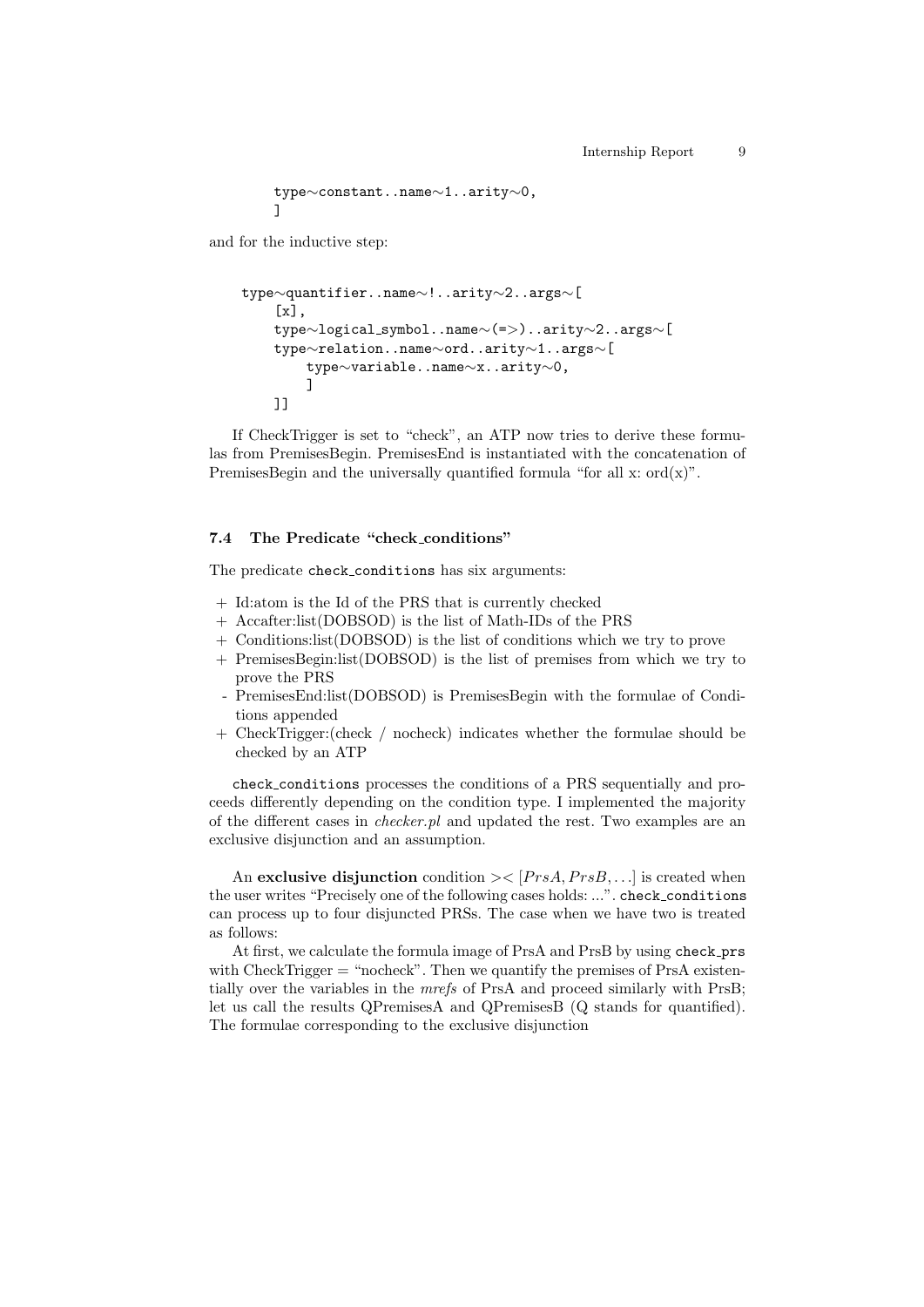```
type∼constant..name∼1..arity∼0,
]
```
and for the inductive step:

```
type∼quantifier..name∼!..arity∼2..args∼[
    [x],
    type∼logical symbol..name∼(=>)..arity∼2..args∼[
    type∼relation..name∼ord..arity∼1..args∼[
       type∼variable..name∼x..arity∼0,
       ]
    ]]
```
If CheckTrigger is set to "check", an ATP now tries to derive these formulas from PremisesBegin. PremisesEnd is instantiated with the concatenation of PremisesBegin and the universally quantified formula "for all x:  $ord(x)$ ".

#### **7.4 The Predicate "check conditions"**

The predicate check conditions has six arguments:

- + Id:atom is the Id of the PRS that is currently checked
- + Accafter:list(DOBSOD) is the list of Math-IDs of the PRS
- + Conditions:list(DOBSOD) is the list of conditions which we try to prove
- + PremisesBegin:list(DOBSOD) is the list of premises from which we try to prove the PRS
- PremisesEnd:list(DOBSOD) is PremisesBegin with the formulae of Conditions appended
- + CheckTrigger:(check / nocheck) indicates whether the formulae should be checked by an ATP

check conditions processes the conditions of a PRS sequentially and proceeds differently depending on the condition type. I implemented the majority of the different cases in *checker.pl* and updated the rest. Two examples are an exclusive disjunction and an assumption.

An **exclusive disjunction** condition  $\frac{\text{p}_{rs}}{\text{p}_{rs}}$ , *PrsB*,... is created when the user writes "Precisely one of the following cases holds: ...". check conditions can process up to four disjuncted PRSs. The case when we have two is treated as follows:

At first, we calculate the formula image of PrsA and PrsB by using check\_prs with CheckTrigger  $=$  "nocheck". Then we quantify the premises of PrsA existentially over the variables in the *mrefs* of PrsA and proceed similarly with PrsB; let us call the results QPremisesA and QPremisesB (Q stands for quantified). The formulae corresponding to the exclusive disjunction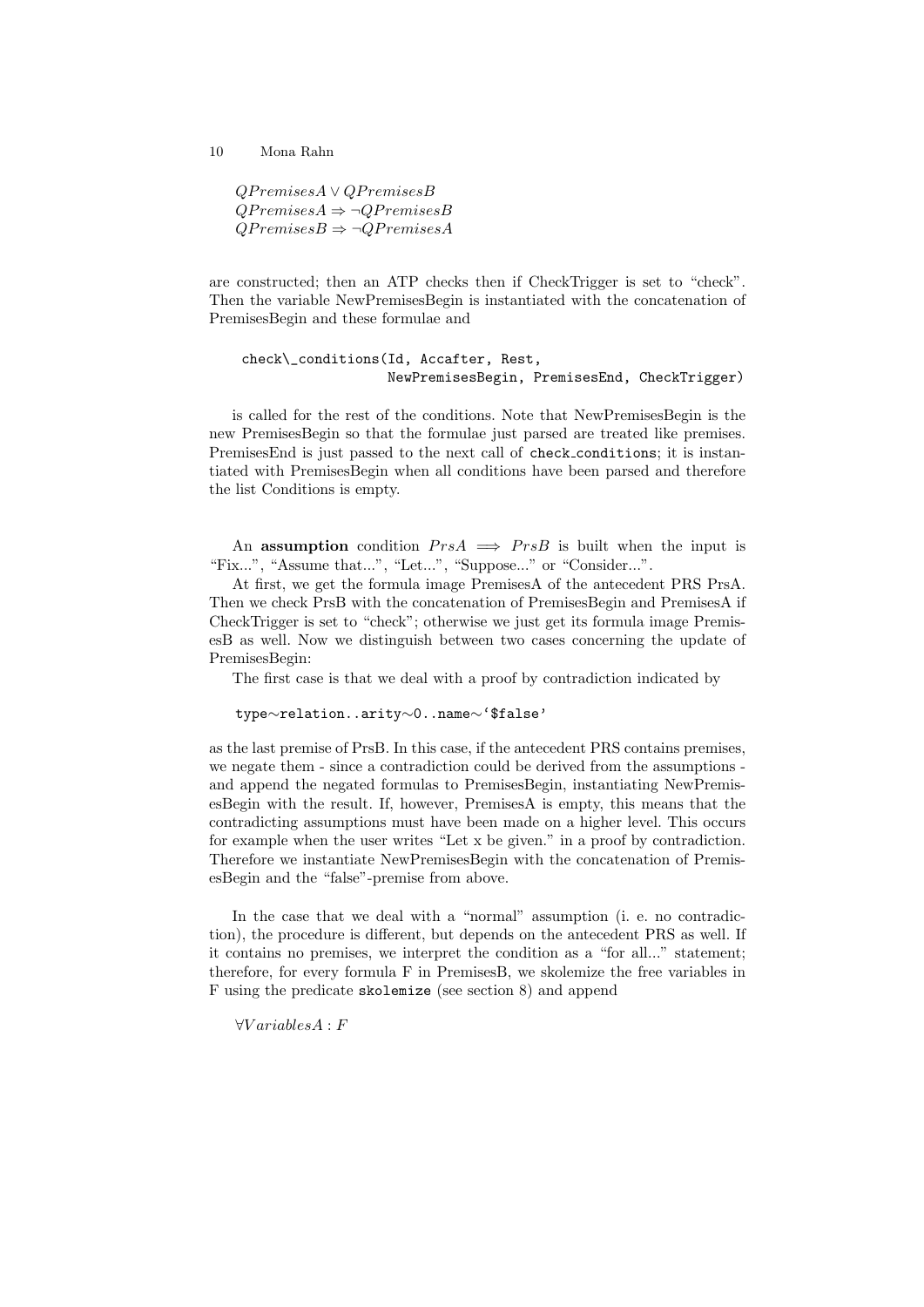*QP remisesA ∨ QP remisesB QP remisesA ⇒ ¬QP remisesB*  $QP$ *remises* $B \Rightarrow \neg Q$ *Premises* $A$ 

are constructed; then an ATP checks then if CheckTrigger is set to "check". Then the variable NewPremisesBegin is instantiated with the concatenation of PremisesBegin and these formulae and

```
check\_conditions(Id, Accafter, Rest,
                  NewPremisesBegin, PremisesEnd, CheckTrigger)
```
is called for the rest of the conditions. Note that NewPremisesBegin is the new PremisesBegin so that the formulae just parsed are treated like premises. PremisesEnd is just passed to the next call of check conditions; it is instantiated with PremisesBegin when all conditions have been parsed and therefore the list Conditions is empty.

An **assumption** condition  $P r s A \implies P r s B$  is built when the input is "Fix...", "Assume that...", "Let...", "Suppose..." or "Consider...".

At first, we get the formula image PremisesA of the antecedent PRS PrsA. Then we check PrsB with the concatenation of PremisesBegin and PremisesA if CheckTrigger is set to "check"; otherwise we just get its formula image PremisesB as well. Now we distinguish between two cases concerning the update of PremisesBegin:

The first case is that we deal with a proof by contradiction indicated by

type*∼*relation..arity*∼*0..name*∼*'\$false'

as the last premise of PrsB. In this case, if the antecedent PRS contains premises, we negate them - since a contradiction could be derived from the assumptions and append the negated formulas to PremisesBegin, instantiating NewPremisesBegin with the result. If, however, PremisesA is empty, this means that the contradicting assumptions must have been made on a higher level. This occurs for example when the user writes "Let x be given." in a proof by contradiction. Therefore we instantiate NewPremisesBegin with the concatenation of PremisesBegin and the "false"-premise from above.

In the case that we deal with a "normal" assumption (i. e. no contradiction), the procedure is different, but depends on the antecedent PRS as well. If it contains no premises, we interpret the condition as a "for all..." statement; therefore, for every formula F in PremisesB, we skolemize the free variables in F using the predicate skolemize (see section 8) and append

*∀V ariablesA* : *F*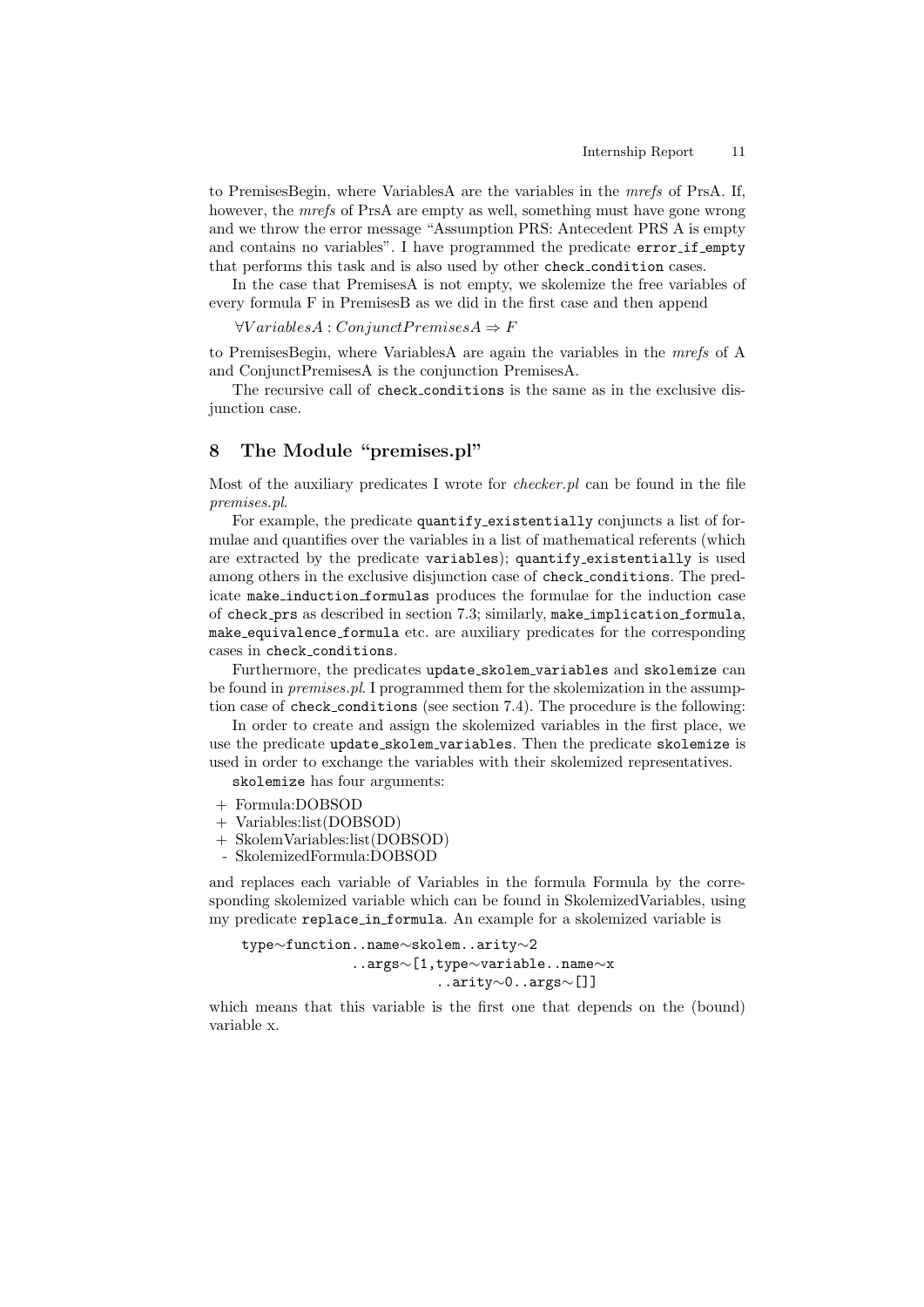to PremisesBegin, where VariablesA are the variables in the *mrefs* of PrsA. If, however, the *mrefs* of PrsA are empty as well, something must have gone wrong and we throw the error message "Assumption PRS: Antecedent PRS A is empty and contains no variables". I have programmed the predicate error if empty that performs this task and is also used by other check condition cases.

In the case that PremisesA is not empty, we skolemize the free variables of every formula F in PremisesB as we did in the first case and then append

 $\forall Variables A : Conjunct Premises A \Rightarrow F$ 

to PremisesBegin, where VariablesA are again the variables in the *mrefs* of A and ConjunctPremisesA is the conjunction PremisesA.

The recursive call of check conditions is the same as in the exclusive disjunction case.

## **8 The Module "premises.pl"**

Most of the auxiliary predicates I wrote for *checker.pl* can be found in the file *premises.pl*.

For example, the predicate quantify existentially conjuncts a list of formulae and quantifies over the variables in a list of mathematical referents (which are extracted by the predicate variables); quantify existentially is used among others in the exclusive disjunction case of check conditions. The predicate make induction formulas produces the formulae for the induction case of check prs as described in section 7.3; similarly, make implication formula, make equivalence formula etc. are auxiliary predicates for the corresponding cases in check conditions.

Furthermore, the predicates update\_skolem\_variables and skolemize can be found in *premises.pl*. I programmed them for the skolemization in the assumption case of check conditions (see section 7.4). The procedure is the following:

In order to create and assign the skolemized variables in the first place, we use the predicate update skolem variables. Then the predicate skolemize is used in order to exchange the variables with their skolemized representatives.

skolemize has four arguments:

- + Formula:DOBSOD
- + Variables:list(DOBSOD)
- + SkolemVariables:list(DOBSOD)
- SkolemizedFormula:DOBSOD

and replaces each variable of Variables in the formula Formula by the corresponding skolemized variable which can be found in SkolemizedVariables, using my predicate replace in formula. An example for a skolemized variable is

```
type∼function..name∼skolem..arity∼2
             ..args∼[1,type∼variable..name∼x
                       ..arity∼0..args∼[]]
```
which means that this variable is the first one that depends on the (bound) variable x.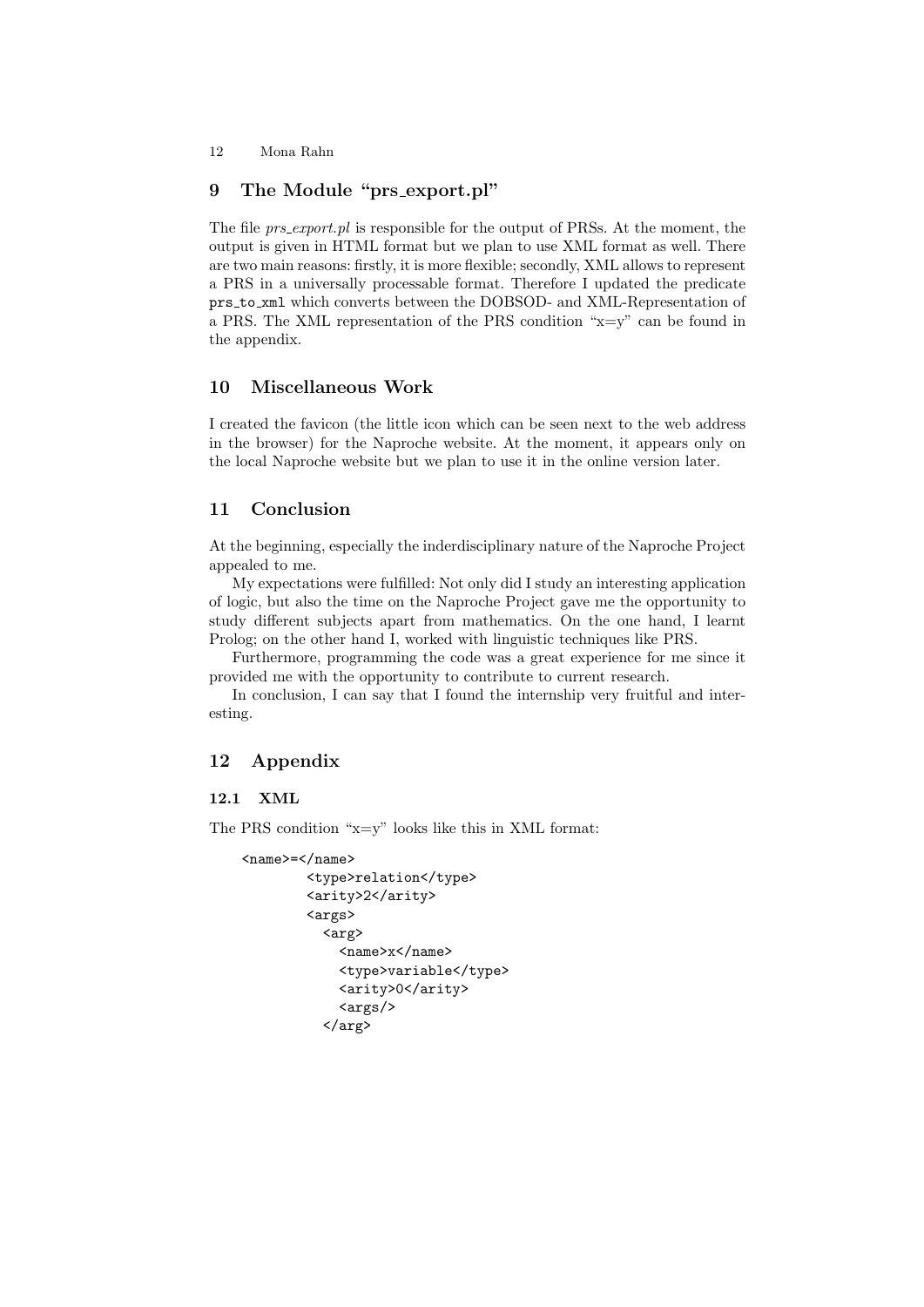## **9 The Module "prs export.pl"**

The file *prs export.pl* is responsible for the output of PRSs. At the moment, the output is given in HTML format but we plan to use XML format as well. There are two main reasons: firstly, it is more flexible; secondly, XML allows to represent a PRS in a universally processable format. Therefore I updated the predicate prs to xml which converts between the DOBSOD- and XML-Representation of a PRS. The XML representation of the PRS condition "x=y" can be found in the appendix.

## **10 Miscellaneous Work**

I created the favicon (the little icon which can be seen next to the web address in the browser) for the Naproche website. At the moment, it appears only on the local Naproche website but we plan to use it in the online version later.

## **11 Conclusion**

At the beginning, especially the inderdisciplinary nature of the Naproche Project appealed to me.

My expectations were fulfilled: Not only did I study an interesting application of logic, but also the time on the Naproche Project gave me the opportunity to study different subjects apart from mathematics. On the one hand, I learnt Prolog; on the other hand I, worked with linguistic techniques like PRS.

Furthermore, programming the code was a great experience for me since it provided me with the opportunity to contribute to current research.

In conclusion, I can say that I found the internship very fruitful and interesting.

## **12 Appendix**

#### **12.1 XML**

The PRS condition "x=y" looks like this in XML format:

```
<name>=</name>
        <type>relation</type>
        <arity>2</arity>
        <args>
          <arg>
            <name>x</name>
            <type>variable</type>
            <arity>0</arity>
            <args/>
          </arg>
```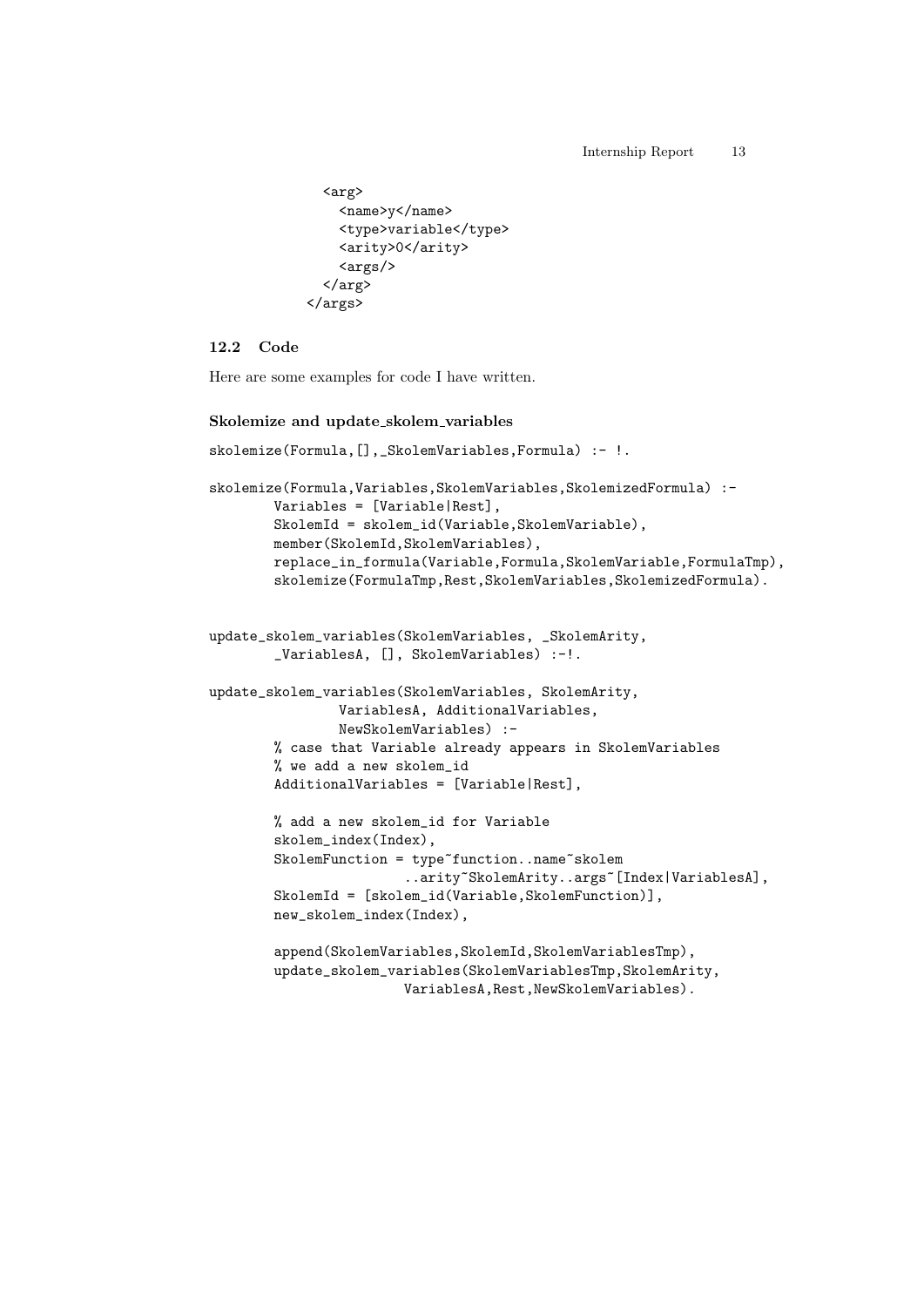```
<arg>
     <name>y</name>
     <type>variable</type>
     <arity>0</arity>
     \langle \text{args}/\rangle</arg>
</args>
```
#### **12.2 Code**

Here are some examples for code I have written.

#### **Skolemize and update skolem variables**

```
skolemize(Formula, [],_SkolemVariables, Formula) :- !.
```

```
skolemize(Formula,Variables,SkolemVariables,SkolemizedFormula) :-
       Variables = [Variable|Rest],
       SkolemId = skolem_id(Variable,SkolemVariable),
       member(SkolemId,SkolemVariables),
       replace_in_formula(Variable,Formula,SkolemVariable,FormulaTmp),
        skolemize(FormulaTmp,Rest,SkolemVariables,SkolemizedFormula).
```

```
update_skolem_variables(SkolemVariables, _SkolemArity,
        _VariablesA, [], SkolemVariables) :-!.
```

```
update_skolem_variables(SkolemVariables, SkolemArity,
                VariablesA, AdditionalVariables,
                NewSkolemVariables) :-
        % case that Variable already appears in SkolemVariables
        % we add a new skolem_id
        AdditionalVariables = [Variable|Rest],
```

```
% add a new skolem_id for Variable
skolem_index(Index),
SkolemFunction = type~function..name~skolem
                ..arity~SkolemArity..args~[Index|VariablesA],
SkolemId = [skolem_id(Variable,SkolemFunction)],
new_skolem_index(Index),
```

```
append(SkolemVariables,SkolemId,SkolemVariablesTmp),
update_skolem_variables(SkolemVariablesTmp,SkolemArity,
                VariablesA,Rest,NewSkolemVariables).
```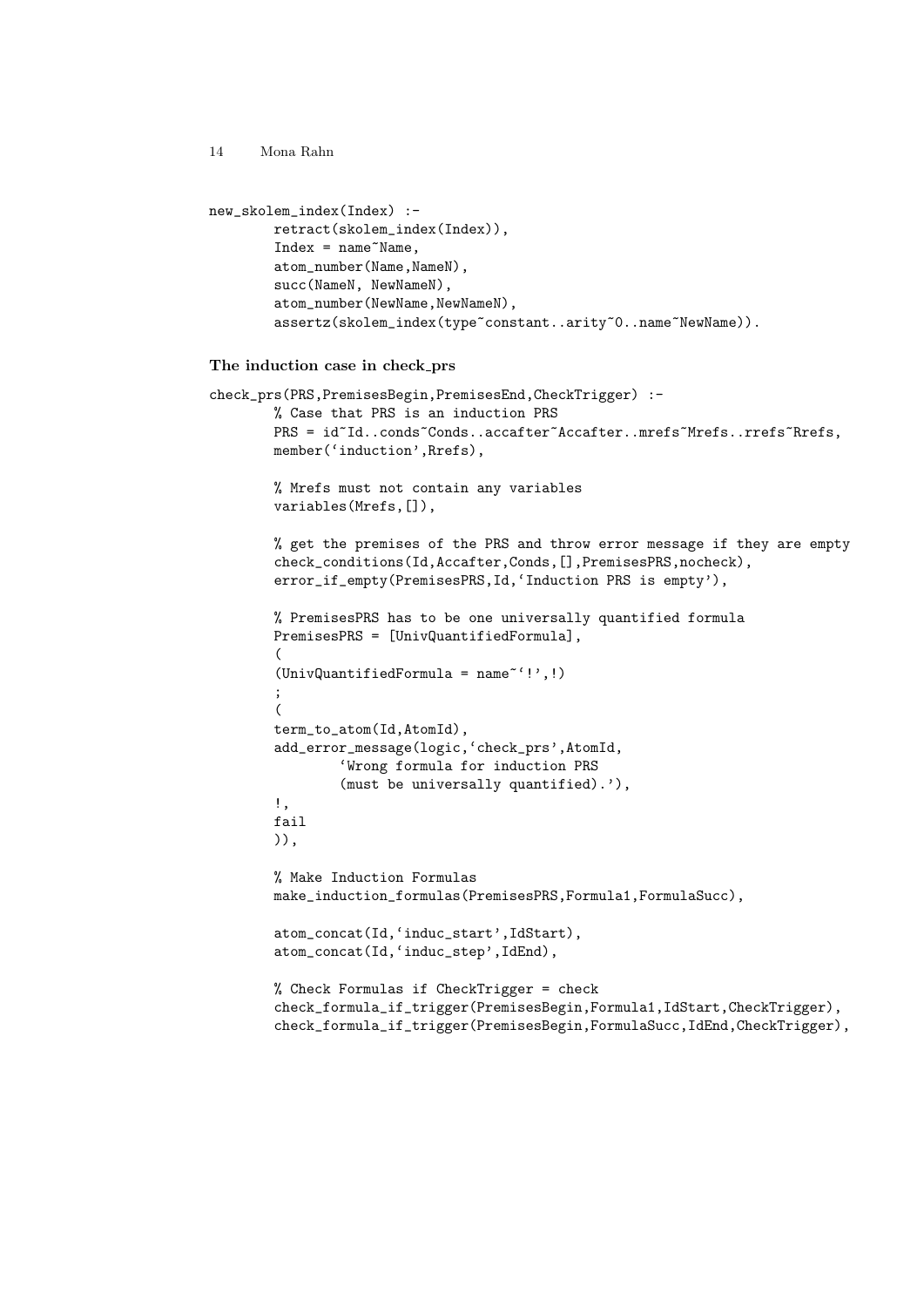```
new_skolem_index(Index) :-
       retract(skolem_index(Index)),
        Index = name^NMame,
        atom_number(Name,NameN),
        succ(NameN, NewNameN),
        atom_number(NewName,NewNameN),
        assertz(skolem_index(type~constant..arity~0..name~NewName)).
The induction case in check prs
check_prs(PRS,PremisesBegin,PremisesEnd,CheckTrigger) :-
        % Case that PRS is an induction PRS
        PRS = id~Id..conds~Conds..accafter~Accafter..mrefs~Mrefs..rrefs~Rrefs,
        member('induction', Rrefs),
        % Mrefs must not contain any variables
        variables(Mrefs,[]),
        % get the premises of the PRS and throw error message if they are empty
        check_conditions(Id,Accafter,Conds,[],PremisesPRS,nocheck),
        error_if_empty(PremisesPRS,Id,'Induction PRS is empty'),
        % PremisesPRS has to be one universally quantified formula
        PremisesPRS = [UnivQuantifiedFormula],
        (
        (UnivQuantifiedFormula = name~'!',!)
        ;
        \epsilonterm_to_atom(Id,AtomId),
        add_error_message(logic,'check_prs',AtomId,
                'Wrong formula for induction PRS
                (must be universally quantified).'),
        !,
        fail
        )),
        % Make Induction Formulas
        make_induction_formulas(PremisesPRS,Formula1,FormulaSucc),
        atom_concat(Id,'induc_start',IdStart),
        atom_concat(Id,'induc_step',IdEnd),
```

```
% Check Formulas if CheckTrigger = check
check_formula_if_trigger(PremisesBegin,Formula1,IdStart,CheckTrigger),
check_formula_if_trigger(PremisesBegin,FormulaSucc,IdEnd,CheckTrigger),
```

```
14 Mona Rahn
```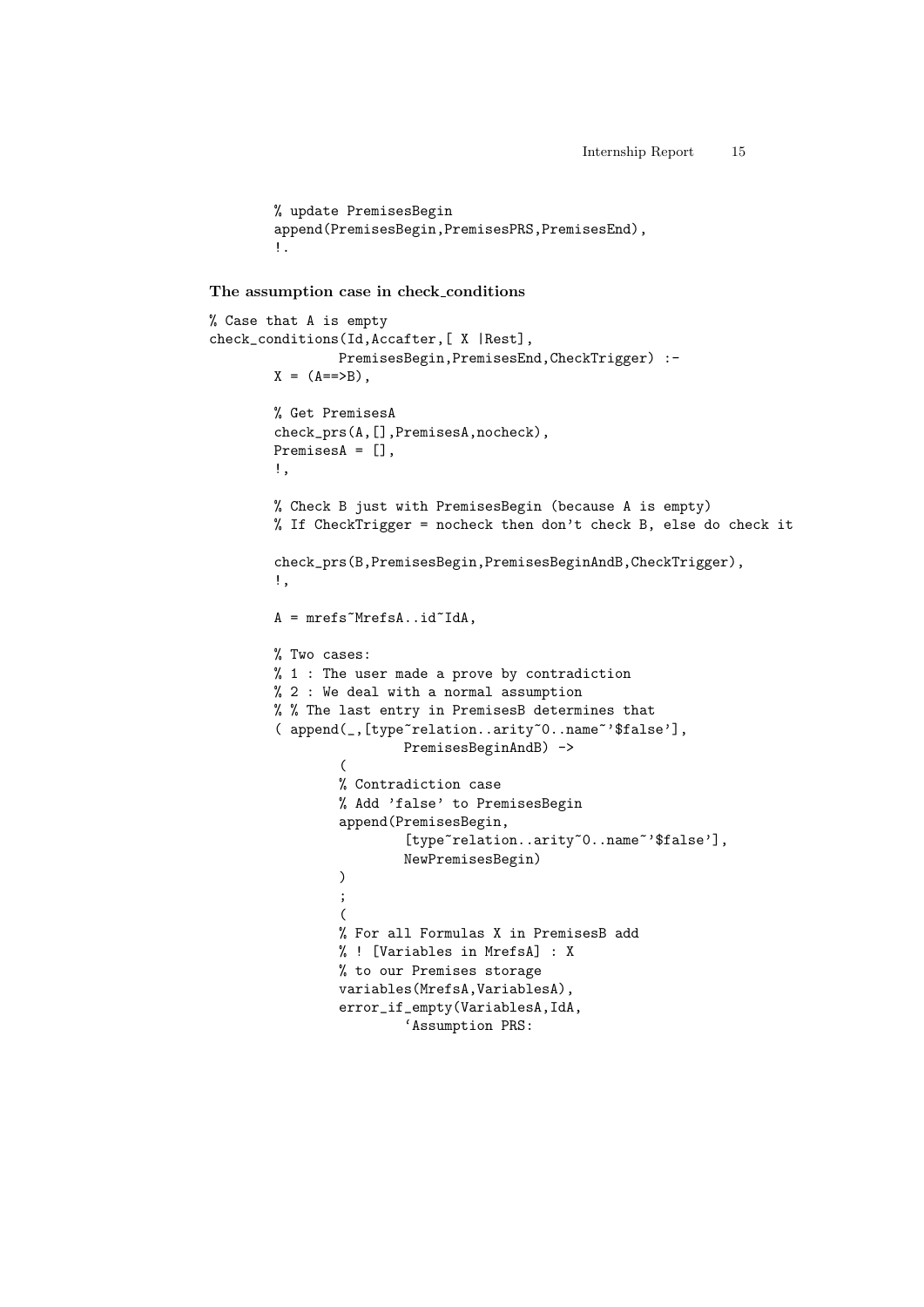```
% update PremisesBegin
append(PremisesBegin,PremisesPRS,PremisesEnd),
!.
```
**The assumption case in check conditions**

```
% Case that A is empty
check_conditions(Id,Accafter,[ X |Rest],
                PremisesBegin,PremisesEnd,CheckTrigger) :-
       X = (A == > B),
       % Get PremisesA
        check_prs(A,[],PremisesA,nocheck),
       PremisesA = [],
        !,
       % Check B just with PremisesBegin (because A is empty)
       % If CheckTrigger = nocheck then don't check B, else do check it
        check_prs(B,PremisesBegin,PremisesBeginAndB,CheckTrigger),
        !,
       A = mrefs~MrefsA..id~IdA,
       % Two cases:
       % 1 : The user made a prove by contradiction
       % 2 : We deal with a normal assumption
       % % The last entry in PremisesB determines that
        ( append(_,[type~relation..arity~0..name~'$false'],
                        PremisesBeginAndB) ->
                (
                % Contradiction case
                % Add 'false' to PremisesBegin
                append(PremisesBegin,
                        [type~relation..arity~0..name~'$false'],
                        NewPremisesBegin)
                )
                ;
                (
                % For all Formulas X in PremisesB add
                % ! [Variables in MrefsA] : X
                % to our Premises storage
                variables(MrefsA,VariablesA),
                error_if_empty(VariablesA,IdA,
                        'Assumption PRS:
```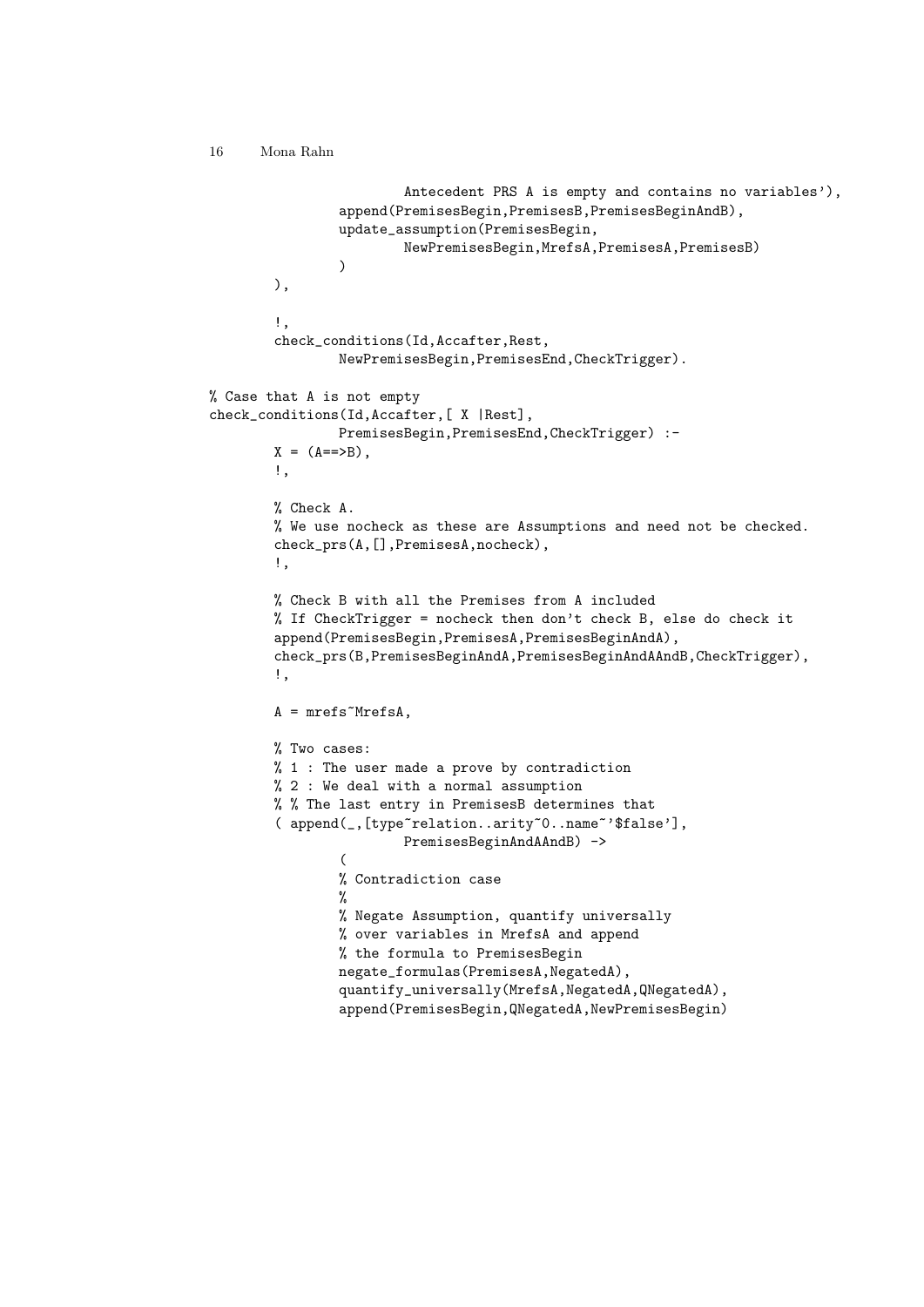```
Antecedent PRS A is empty and contains no variables'),
                append(PremisesBegin,PremisesB,PremisesBeginAndB),
                update_assumption(PremisesBegin,
                        NewPremisesBegin,MrefsA,PremisesA,PremisesB)
                \lambda),
        !,
        check_conditions(Id,Accafter,Rest,
                NewPremisesBegin,PremisesEnd,CheckTrigger).
% Case that A is not empty
check_conditions(Id,Accafter,[ X |Rest],
                PremisesBegin,PremisesEnd,CheckTrigger) :-
       X = (A == B).
        !,
       % Check A.
       % We use nocheck as these are Assumptions and need not be checked.
        check_prs(A,[],PremisesA,nocheck),
        !,
        % Check B with all the Premises from A included
        % If CheckTrigger = nocheck then don't check B, else do check it
        append(PremisesBegin,PremisesA,PremisesBeginAndA),
        check_prs(B,PremisesBeginAndA,PremisesBeginAndAAndB,CheckTrigger),
        !,
       A = mrefs~MrefsA,
        % Two cases:
        % 1 : The user made a prove by contradiction
       % 2 : We deal with a normal assumption
       % % The last entry in PremisesB determines that
        ( append(_,[type~relation..arity~0..name~'$false'],
                        PremisesBeginAndAAndB) ->
                (
                % Contradiction case
                %
                % Negate Assumption, quantify universally
                % over variables in MrefsA and append
                % the formula to PremisesBegin
                negate_formulas(PremisesA,NegatedA),
                quantify_universally(MrefsA,NegatedA,QNegatedA),
                append(PremisesBegin,QNegatedA,NewPremisesBegin)
```